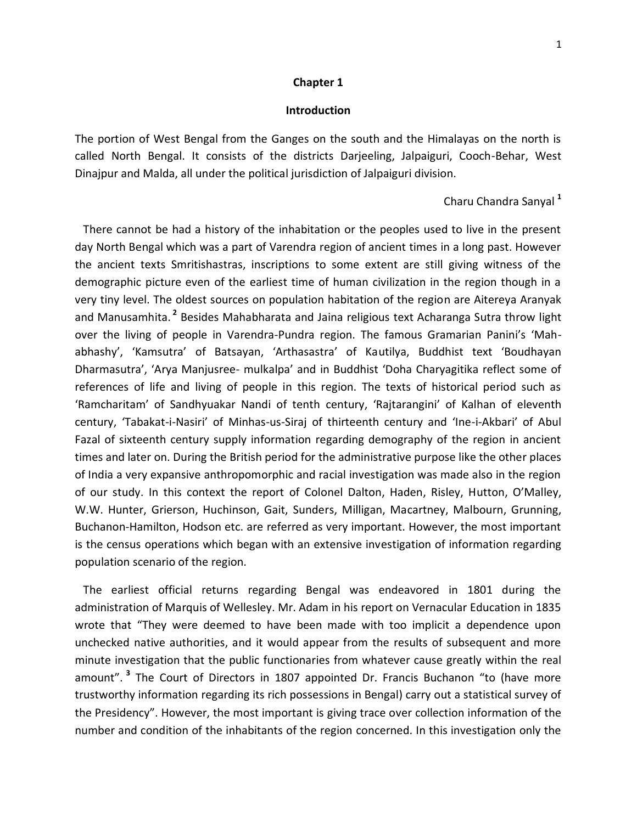## **Chapter 1**

## **Introduction**

The portion of West Bengal from the Ganges on the south and the Himalayas on the north is called North Bengal. It consists of the districts Darjeeling, Jalpaiguri, Cooch-Behar, West Dinajpur and Malda, all under the political jurisdiction of Jalpaiguri division.

## Charu Chandra Sanyal **<sup>1</sup>**

 There cannot be had a history of the inhabitation or the peoples used to live in the present day North Bengal which was a part of Varendra region of ancient times in a long past. However the ancient texts Smritishastras, inscriptions to some extent are still giving witness of the demographic picture even of the earliest time of human civilization in the region though in a very tiny level. The oldest sources on population habitation of the region are Aitereya Aranyak and Manusamhita. **<sup>2</sup>** Besides Mahabharata and Jaina religious text Acharanga Sutra throw light over the living of people in Varendra-Pundra region. The famous Gramarian Panini's 'Mahabhashy', 'Kamsutra' of Batsayan, 'Arthasastra' of Kautilya, Buddhist text 'Boudhayan Dharmasutra', 'Arya Manjusree- mulkalpa' and in Buddhist 'Doha Charyagitika reflect some of references of life and living of people in this region. The texts of historical period such as 'Ramcharitam' of Sandhyuakar Nandi of tenth century, 'Rajtarangini' of Kalhan of eleventh century, 'Tabakat-i-Nasiri' of Minhas-us-Siraj of thirteenth century and 'Ine-i-Akbari' of Abul Fazal of sixteenth century supply information regarding demography of the region in ancient times and later on. During the British period for the administrative purpose like the other places of India a very expansive anthropomorphic and racial investigation was made also in the region of our study. In this context the report of Colonel Dalton, Haden, Risley, Hutton, O'Malley, W.W. Hunter, Grierson, Huchinson, Gait, Sunders, Milligan, Macartney, Malbourn, Grunning, Buchanon-Hamilton, Hodson etc. are referred as very important. However, the most important is the census operations which began with an extensive investigation of information regarding population scenario of the region.

 The earliest official returns regarding Bengal was endeavored in 1801 during the administration of Marquis of Wellesley. Mr. Adam in his report on Vernacular Education in 1835 wrote that "They were deemed to have been made with too implicit a dependence upon unchecked native authorities, and it would appear from the results of subsequent and more minute investigation that the public functionaries from whatever cause greatly within the real amount". **<sup>3</sup>** The Court of Directors in 1807 appointed Dr. Francis Buchanon "to (have more trustworthy information regarding its rich possessions in Bengal) carry out a statistical survey of the Presidency". However, the most important is giving trace over collection information of the number and condition of the inhabitants of the region concerned. In this investigation only the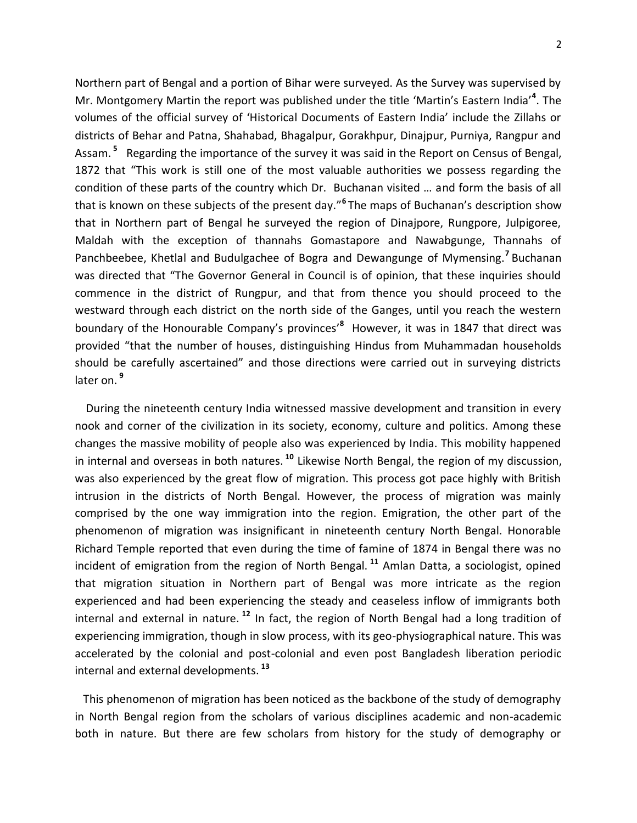Northern part of Bengal and a portion of Bihar were surveyed. As the Survey was supervised by Mr. Montgomery Martin the report was published under the title 'Martin's Eastern India'<sup>4</sup>. The volumes of the official survey of 'Historical Documents of Eastern India' include the Zillahs or districts of Behar and Patna, Shahabad, Bhagalpur, Gorakhpur, Dinajpur, Purniya, Rangpur and Assam. **<sup>5</sup>** Regarding the importance of the survey it was said in the Report on Census of Bengal, 1872 that "This work is still one of the most valuable authorities we possess regarding the condition of these parts of the country which Dr. Buchanan visited … and form the basis of all that is known on these subjects of the present day."**<sup>6</sup>** The maps of Buchanan's description show that in Northern part of Bengal he surveyed the region of Dinajpore, Rungpore, Julpigoree, Maldah with the exception of thannahs Gomastapore and Nawabgunge, Thannahs of Panchbeebee, Khetlal and Budulgachee of Bogra and Dewangunge of Mymensing.**<sup>7</sup>** Buchanan was directed that "The Governor General in Council is of opinion, that these inquiries should commence in the district of Rungpur, and that from thence you should proceed to the westward through each district on the north side of the Ganges, until you reach the western boundary of the Honourable Company's provinces'**<sup>8</sup>** However, it was in 1847 that direct was provided "that the number of houses, distinguishing Hindus from Muhammadan households should be carefully ascertained" and those directions were carried out in surveying districts later on. **<sup>9</sup>**

 During the nineteenth century India witnessed massive development and transition in every nook and corner of the civilization in its society, economy, culture and politics. Among these changes the massive mobility of people also was experienced by India. This mobility happened in internal and overseas in both natures. **<sup>10</sup>** Likewise North Bengal, the region of my discussion, was also experienced by the great flow of migration. This process got pace highly with British intrusion in the districts of North Bengal. However, the process of migration was mainly comprised by the one way immigration into the region. Emigration, the other part of the phenomenon of migration was insignificant in nineteenth century North Bengal. Honorable Richard Temple reported that even during the time of famine of 1874 in Bengal there was no incident of emigration from the region of North Bengal. **<sup>11</sup>** Amlan Datta, a sociologist, opined that migration situation in Northern part of Bengal was more intricate as the region experienced and had been experiencing the steady and ceaseless inflow of immigrants both internal and external in nature. **<sup>12</sup>** In fact, the region of North Bengal had a long tradition of experiencing immigration, though in slow process, with its geo-physiographical nature. This was accelerated by the colonial and post-colonial and even post Bangladesh liberation periodic internal and external developments. **<sup>13</sup>**

 This phenomenon of migration has been noticed as the backbone of the study of demography in North Bengal region from the scholars of various disciplines academic and non-academic both in nature. But there are few scholars from history for the study of demography or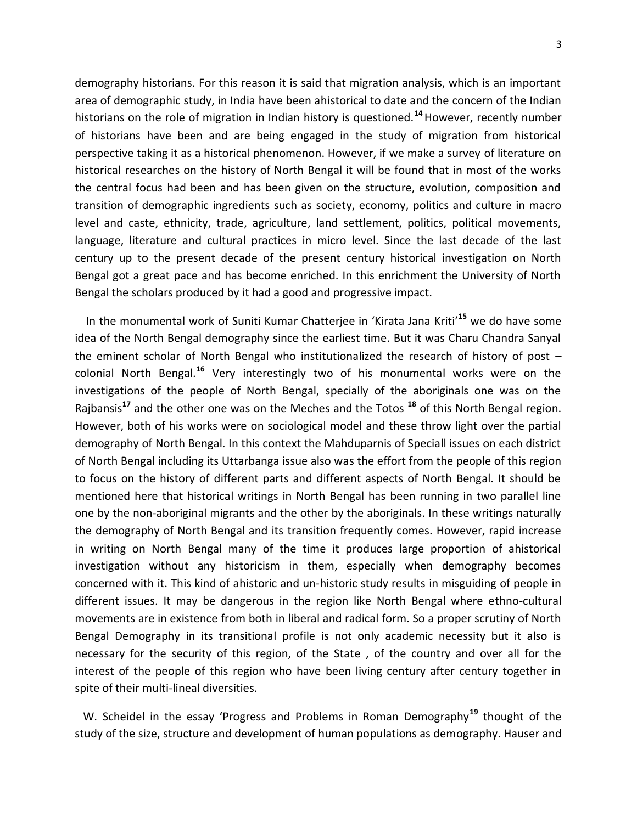demography historians. For this reason it is said that migration analysis, which is an important area of demographic study, in India have been ahistorical to date and the concern of the Indian historians on the role of migration in Indian history is questioned.**<sup>14</sup>**However, recently number of historians have been and are being engaged in the study of migration from historical perspective taking it as a historical phenomenon. However, if we make a survey of literature on historical researches on the history of North Bengal it will be found that in most of the works the central focus had been and has been given on the structure, evolution, composition and transition of demographic ingredients such as society, economy, politics and culture in macro level and caste, ethnicity, trade, agriculture, land settlement, politics, political movements, language, literature and cultural practices in micro level. Since the last decade of the last century up to the present decade of the present century historical investigation on North Bengal got a great pace and has become enriched. In this enrichment the University of North Bengal the scholars produced by it had a good and progressive impact.

 In the monumental work of Suniti Kumar Chatterjee in 'Kirata Jana Kriti'**<sup>15</sup>** we do have some idea of the North Bengal demography since the earliest time. But it was Charu Chandra Sanyal the eminent scholar of North Bengal who institutionalized the research of history of post – colonial North Bengal.**<sup>16</sup>** Very interestingly two of his monumental works were on the investigations of the people of North Bengal, specially of the aboriginals one was on the Rajbansis**<sup>17</sup>** and the other one was on the Meches and the Totos **<sup>18</sup>** of this North Bengal region. However, both of his works were on sociological model and these throw light over the partial demography of North Bengal. In this context the Mahduparnis of Speciall issues on each district of North Bengal including its Uttarbanga issue also was the effort from the people of this region to focus on the history of different parts and different aspects of North Bengal. It should be mentioned here that historical writings in North Bengal has been running in two parallel line one by the non-aboriginal migrants and the other by the aboriginals. In these writings naturally the demography of North Bengal and its transition frequently comes. However, rapid increase in writing on North Bengal many of the time it produces large proportion of ahistorical investigation without any historicism in them, especially when demography becomes concerned with it. This kind of ahistoric and un-historic study results in misguiding of people in different issues. It may be dangerous in the region like North Bengal where ethno-cultural movements are in existence from both in liberal and radical form. So a proper scrutiny of North Bengal Demography in its transitional profile is not only academic necessity but it also is necessary for the security of this region, of the State , of the country and over all for the interest of the people of this region who have been living century after century together in spite of their multi-lineal diversities.

 W. Scheidel in the essay 'Progress and Problems in Roman Demography**<sup>19</sup>** thought of the study of the size, structure and development of human populations as demography. Hauser and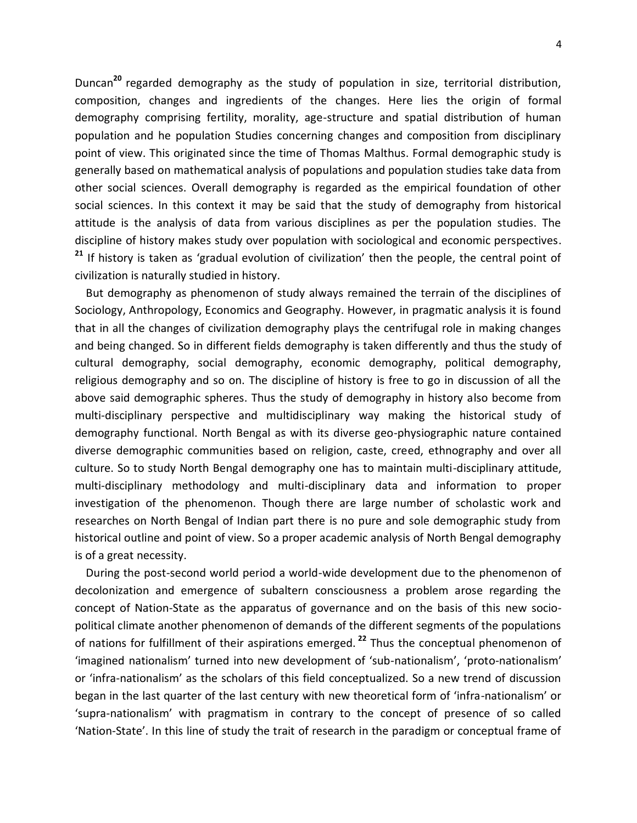Duncan**<sup>20</sup>** regarded demography as the study of population in size, territorial distribution, composition, changes and ingredients of the changes. Here lies the origin of formal demography comprising fertility, morality, age-structure and spatial distribution of human population and he population Studies concerning changes and composition from disciplinary point of view. This originated since the time of Thomas Malthus. Formal demographic study is generally based on mathematical analysis of populations and population studies take data from other social sciences. Overall demography is regarded as the empirical foundation of other social sciences. In this context it may be said that the study of demography from historical attitude is the analysis of data from various disciplines as per the population studies. The discipline of history makes study over population with sociological and economic perspectives. **<sup>21</sup>** If history is taken as 'gradual evolution of civilization' then the people, the central point of civilization is naturally studied in history.

 But demography as phenomenon of study always remained the terrain of the disciplines of Sociology, Anthropology, Economics and Geography. However, in pragmatic analysis it is found that in all the changes of civilization demography plays the centrifugal role in making changes and being changed. So in different fields demography is taken differently and thus the study of cultural demography, social demography, economic demography, political demography, religious demography and so on. The discipline of history is free to go in discussion of all the above said demographic spheres. Thus the study of demography in history also become from multi-disciplinary perspective and multidisciplinary way making the historical study of demography functional. North Bengal as with its diverse geo-physiographic nature contained diverse demographic communities based on religion, caste, creed, ethnography and over all culture. So to study North Bengal demography one has to maintain multi-disciplinary attitude, multi-disciplinary methodology and multi-disciplinary data and information to proper investigation of the phenomenon. Though there are large number of scholastic work and researches on North Bengal of Indian part there is no pure and sole demographic study from historical outline and point of view. So a proper academic analysis of North Bengal demography is of a great necessity.

 During the post-second world period a world-wide development due to the phenomenon of decolonization and emergence of subaltern consciousness a problem arose regarding the concept of Nation-State as the apparatus of governance and on the basis of this new sociopolitical climate another phenomenon of demands of the different segments of the populations of nations for fulfillment of their aspirations emerged. **<sup>22</sup>** Thus the conceptual phenomenon of 'imagined nationalism' turned into new development of 'sub-nationalism', 'proto-nationalism' or 'infra-nationalism' as the scholars of this field conceptualized. So a new trend of discussion began in the last quarter of the last century with new theoretical form of 'infra-nationalism' or 'supra-nationalism' with pragmatism in contrary to the concept of presence of so called 'Nation-State'. In this line of study the trait of research in the paradigm or conceptual frame of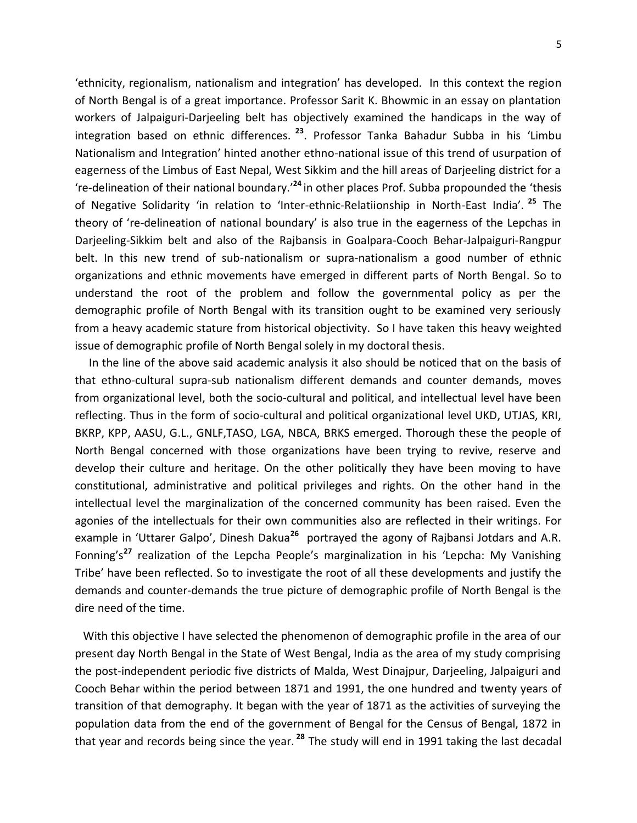'ethnicity, regionalism, nationalism and integration' has developed. In this context the region of North Bengal is of a great importance. Professor Sarit K. Bhowmic in an essay on plantation workers of Jalpaiguri-Darjeeling belt has objectively examined the handicaps in the way of integration based on ethnic differences. **<sup>23</sup>**. Professor Tanka Bahadur Subba in his 'Limbu Nationalism and Integration' hinted another ethno-national issue of this trend of usurpation of eagerness of the Limbus of East Nepal, West Sikkim and the hill areas of Darjeeling district for a 're-delineation of their national boundary.' **<sup>24</sup>** in other places Prof. Subba propounded the 'thesis of Negative Solidarity 'in relation to 'Inter-ethnic-Relatiionship in North-East India'. **<sup>25</sup>** The theory of 're-delineation of national boundary' is also true in the eagerness of the Lepchas in Darjeeling-Sikkim belt and also of the Rajbansis in Goalpara-Cooch Behar-Jalpaiguri-Rangpur belt. In this new trend of sub-nationalism or supra-nationalism a good number of ethnic organizations and ethnic movements have emerged in different parts of North Bengal. So to understand the root of the problem and follow the governmental policy as per the demographic profile of North Bengal with its transition ought to be examined very seriously from a heavy academic stature from historical objectivity. So I have taken this heavy weighted issue of demographic profile of North Bengal solely in my doctoral thesis.

 In the line of the above said academic analysis it also should be noticed that on the basis of that ethno-cultural supra-sub nationalism different demands and counter demands, moves from organizational level, both the socio-cultural and political, and intellectual level have been reflecting. Thus in the form of socio-cultural and political organizational level UKD, UTJAS, KRI, BKRP, KPP, AASU, G.L., GNLF,TASO, LGA, NBCA, BRKS emerged. Thorough these the people of North Bengal concerned with those organizations have been trying to revive, reserve and develop their culture and heritage. On the other politically they have been moving to have constitutional, administrative and political privileges and rights. On the other hand in the intellectual level the marginalization of the concerned community has been raised. Even the agonies of the intellectuals for their own communities also are reflected in their writings. For example in 'Uttarer Galpo', Dinesh Dakua<sup>26</sup> portrayed the agony of Rajbansi Jotdars and A.R. Fonning's**<sup>27</sup>** realization of the Lepcha People's marginalization in his 'Lepcha: My Vanishing Tribe' have been reflected. So to investigate the root of all these developments and justify the demands and counter-demands the true picture of demographic profile of North Bengal is the dire need of the time.

 With this objective I have selected the phenomenon of demographic profile in the area of our present day North Bengal in the State of West Bengal, India as the area of my study comprising the post-independent periodic five districts of Malda, West Dinajpur, Darjeeling, Jalpaiguri and Cooch Behar within the period between 1871 and 1991, the one hundred and twenty years of transition of that demography. It began with the year of 1871 as the activities of surveying the population data from the end of the government of Bengal for the Census of Bengal, 1872 in that year and records being since the year. **<sup>28</sup>** The study will end in 1991 taking the last decadal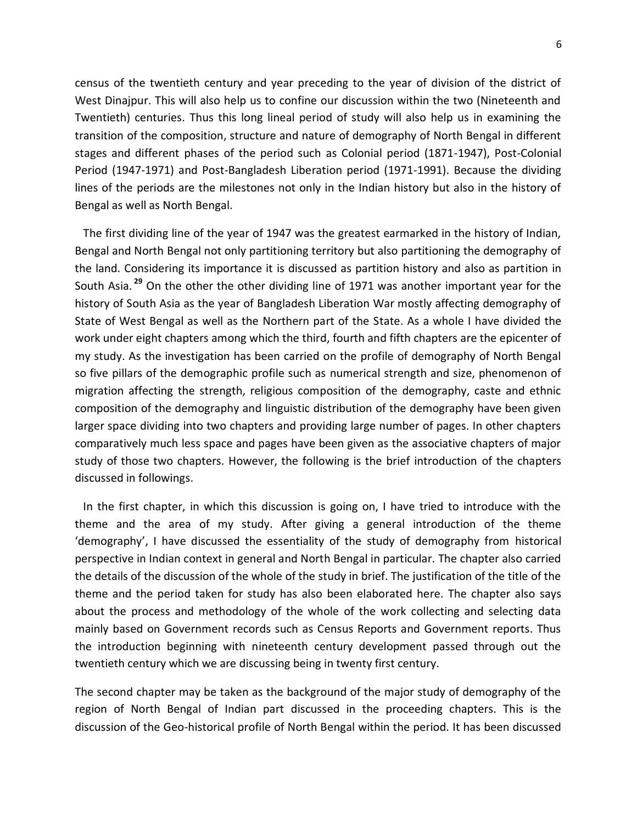census of the twentieth century and year preceding to the year of division of the district of West Dinajpur. This will also help us to confine our discussion within the two (Nineteenth and Twentieth) centuries. Thus this long lineal period of study will also help us in examining the transition of the composition, structure and nature of demography of North Bengal in different stages and different phases of the period such as Colonial period (1871-1947), Post-Colonial Period (1947-1971) and Post-Bangladesh Liberation period (1971-1991). Because the dividing lines of the periods are the milestones not only in the Indian history but also in the history of Bengal as well as North Bengal.

 The first dividing line of the year of 1947 was the greatest earmarked in the history of Indian, Bengal and North Bengal not only partitioning territory but also partitioning the demography of the land. Considering its importance it is discussed as partition history and also as partition in South Asia. **<sup>29</sup>** On the other the other dividing line of 1971 was another important year for the history of South Asia as the year of Bangladesh Liberation War mostly affecting demography of State of West Bengal as well as the Northern part of the State. As a whole I have divided the work under eight chapters among which the third, fourth and fifth chapters are the epicenter of my study. As the investigation has been carried on the profile of demography of North Bengal so five pillars of the demographic profile such as numerical strength and size, phenomenon of migration affecting the strength, religious composition of the demography, caste and ethnic composition of the demography and linguistic distribution of the demography have been given larger space dividing into two chapters and providing large number of pages. In other chapters comparatively much less space and pages have been given as the associative chapters of major study of those two chapters. However, the following is the brief introduction of the chapters discussed in followings.

 In the first chapter, in which this discussion is going on, I have tried to introduce with the theme and the area of my study. After giving a general introduction of the theme 'demography', I have discussed the essentiality of the study of demography from historical perspective in Indian context in general and North Bengal in particular. The chapter also carried the details of the discussion of the whole of the study in brief. The justification of the title of the theme and the period taken for study has also been elaborated here. The chapter also says about the process and methodology of the whole of the work collecting and selecting data mainly based on Government records such as Census Reports and Government reports. Thus the introduction beginning with nineteenth century development passed through out the twentieth century which we are discussing being in twenty first century.

The second chapter may be taken as the background of the major study of demography of the region of North Bengal of Indian part discussed in the proceeding chapters. This is the discussion of the Geo-historical profile of North Bengal within the period. It has been discussed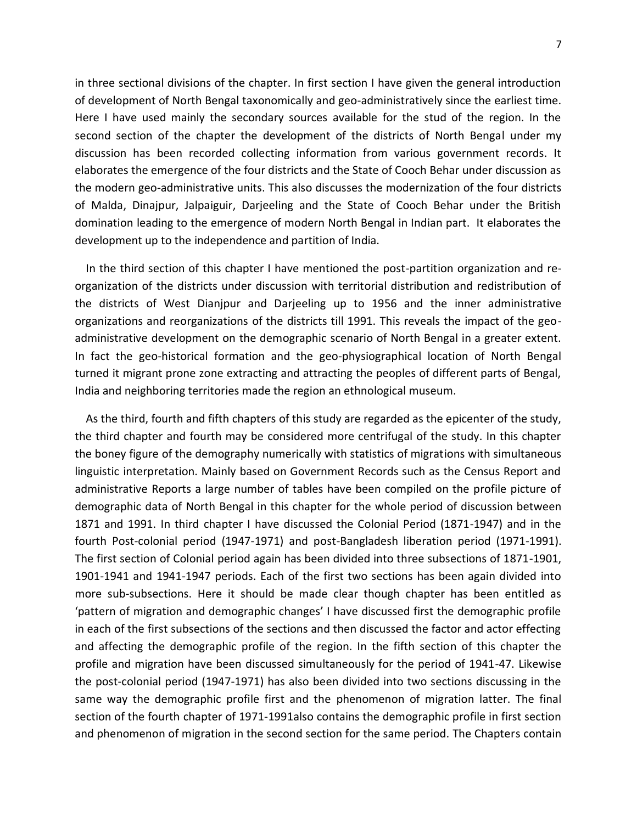in three sectional divisions of the chapter. In first section I have given the general introduction of development of North Bengal taxonomically and geo-administratively since the earliest time. Here I have used mainly the secondary sources available for the stud of the region. In the second section of the chapter the development of the districts of North Bengal under my discussion has been recorded collecting information from various government records. It elaborates the emergence of the four districts and the State of Cooch Behar under discussion as the modern geo-administrative units. This also discusses the modernization of the four districts of Malda, Dinajpur, Jalpaiguir, Darjeeling and the State of Cooch Behar under the British domination leading to the emergence of modern North Bengal in Indian part. It elaborates the development up to the independence and partition of India.

 In the third section of this chapter I have mentioned the post-partition organization and reorganization of the districts under discussion with territorial distribution and redistribution of the districts of West Dianjpur and Darjeeling up to 1956 and the inner administrative organizations and reorganizations of the districts till 1991. This reveals the impact of the geoadministrative development on the demographic scenario of North Bengal in a greater extent. In fact the geo-historical formation and the geo-physiographical location of North Bengal turned it migrant prone zone extracting and attracting the peoples of different parts of Bengal, India and neighboring territories made the region an ethnological museum.

 As the third, fourth and fifth chapters of this study are regarded as the epicenter of the study, the third chapter and fourth may be considered more centrifugal of the study. In this chapter the boney figure of the demography numerically with statistics of migrations with simultaneous linguistic interpretation. Mainly based on Government Records such as the Census Report and administrative Reports a large number of tables have been compiled on the profile picture of demographic data of North Bengal in this chapter for the whole period of discussion between 1871 and 1991. In third chapter I have discussed the Colonial Period (1871-1947) and in the fourth Post-colonial period (1947-1971) and post-Bangladesh liberation period (1971-1991). The first section of Colonial period again has been divided into three subsections of 1871-1901, 1901-1941 and 1941-1947 periods. Each of the first two sections has been again divided into more sub-subsections. Here it should be made clear though chapter has been entitled as 'pattern of migration and demographic changes' I have discussed first the demographic profile in each of the first subsections of the sections and then discussed the factor and actor effecting and affecting the demographic profile of the region. In the fifth section of this chapter the profile and migration have been discussed simultaneously for the period of 1941-47. Likewise the post-colonial period (1947-1971) has also been divided into two sections discussing in the same way the demographic profile first and the phenomenon of migration latter. The final section of the fourth chapter of 1971-1991also contains the demographic profile in first section and phenomenon of migration in the second section for the same period. The Chapters contain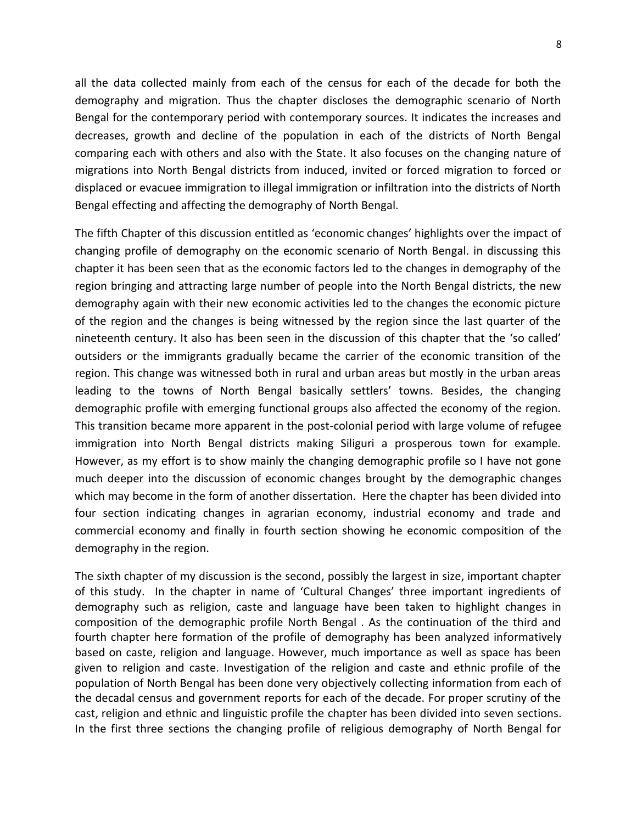all the data collected mainly from each of the census for each of the decade for both the demography and migration. Thus the chapter discloses the demographic scenario of North Bengal for the contemporary period with contemporary sources. It indicates the increases and decreases, growth and decline of the population in each of the districts of North Bengal comparing each with others and also with the State. It also focuses on the changing nature of migrations into North Bengal districts from induced, invited or forced migration to forced or displaced or evacuee immigration to illegal immigration or infiltration into the districts of North Bengal effecting and affecting the demography of North Bengal.

The fifth Chapter of this discussion entitled as 'economic changes' highlights over the impact of changing profile of demography on the economic scenario of North Bengal. in discussing this chapter it has been seen that as the economic factors led to the changes in demography of the region bringing and attracting large number of people into the North Bengal districts, the new demography again with their new economic activities led to the changes the economic picture of the region and the changes is being witnessed by the region since the last quarter of the nineteenth century. It also has been seen in the discussion of this chapter that the 'so called' outsiders or the immigrants gradually became the carrier of the economic transition of the region. This change was witnessed both in rural and urban areas but mostly in the urban areas leading to the towns of North Bengal basically settlers' towns. Besides, the changing demographic profile with emerging functional groups also affected the economy of the region. This transition became more apparent in the post-colonial period with large volume of refugee immigration into North Bengal districts making Siliguri a prosperous town for example. However, as my effort is to show mainly the changing demographic profile so I have not gone much deeper into the discussion of economic changes brought by the demographic changes which may become in the form of another dissertation. Here the chapter has been divided into four section indicating changes in agrarian economy, industrial economy and trade and commercial economy and finally in fourth section showing he economic composition of the demography in the region.

The sixth chapter of my discussion is the second, possibly the largest in size, important chapter of this study. In the chapter in name of 'Cultural Changes' three important ingredients of demography such as religion, caste and language have been taken to highlight changes in composition of the demographic profile North Bengal . As the continuation of the third and fourth chapter here formation of the profile of demography has been analyzed informatively based on caste, religion and language. However, much importance as well as space has been given to religion and caste. Investigation of the religion and caste and ethnic profile of the population of North Bengal has been done very objectively collecting information from each of the decadal census and government reports for each of the decade. For proper scrutiny of the cast, religion and ethnic and linguistic profile the chapter has been divided into seven sections. In the first three sections the changing profile of religious demography of North Bengal for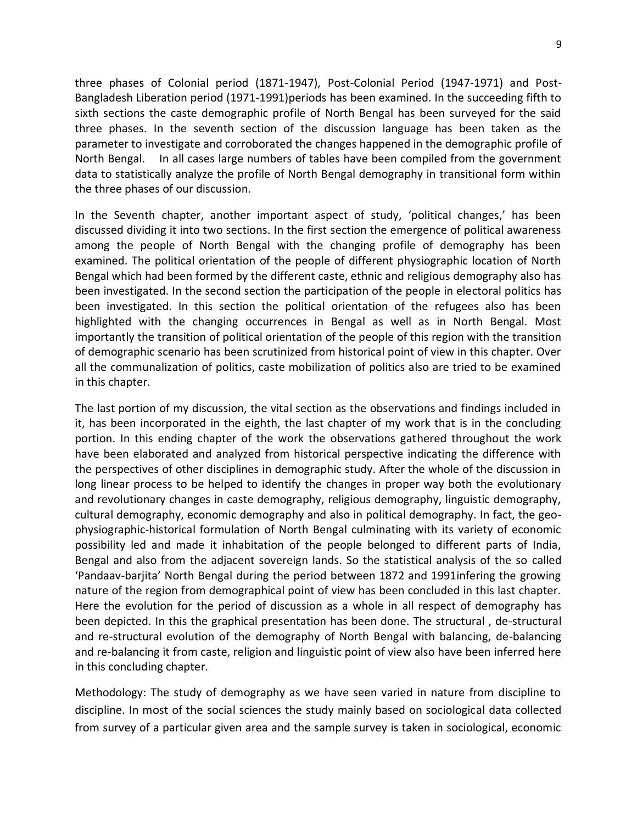three phases of Colonial period (1871-1947), Post-Colonial Period (1947-1971) and Post-Bangladesh Liberation period (1971-1991)periods has been examined. In the succeeding fifth to sixth sections the caste demographic profile of North Bengal has been surveyed for the said three phases. In the seventh section of the discussion language has been taken as the parameter to investigate and corroborated the changes happened in the demographic profile of North Bengal. In all cases large numbers of tables have been compiled from the government data to statistically analyze the profile of North Bengal demography in transitional form within the three phases of our discussion.

In the Seventh chapter, another important aspect of study, 'political changes,' has been discussed dividing it into two sections. In the first section the emergence of political awareness among the people of North Bengal with the changing profile of demography has been examined. The political orientation of the people of different physiographic location of North Bengal which had been formed by the different caste, ethnic and religious demography also has been investigated. In the second section the participation of the people in electoral politics has been investigated. In this section the political orientation of the refugees also has been highlighted with the changing occurrences in Bengal as well as in North Bengal. Most importantly the transition of political orientation of the people of this region with the transition of demographic scenario has been scrutinized from historical point of view in this chapter. Over all the communalization of politics, caste mobilization of politics also are tried to be examined in this chapter.

The last portion of my discussion, the vital section as the observations and findings included in it, has been incorporated in the eighth, the last chapter of my work that is in the concluding portion. In this ending chapter of the work the observations gathered throughout the work have been elaborated and analyzed from historical perspective indicating the difference with the perspectives of other disciplines in demographic study. After the whole of the discussion in long linear process to be helped to identify the changes in proper way both the evolutionary and revolutionary changes in caste demography, religious demography, linguistic demography, cultural demography, economic demography and also in political demography. In fact, the geophysiographic-historical formulation of North Bengal culminating with its variety of economic possibility led and made it inhabitation of the people belonged to different parts of India, Bengal and also from the adjacent sovereign lands. So the statistical analysis of the so called 'Pandaav-barjita' North Bengal during the period between 1872 and 1991infering the growing nature of the region from demographical point of view has been concluded in this last chapter. Here the evolution for the period of discussion as a whole in all respect of demography has been depicted. In this the graphical presentation has been done. The structural , de-structural and re-structural evolution of the demography of North Bengal with balancing, de-balancing and re-balancing it from caste, religion and linguistic point of view also have been inferred here in this concluding chapter.

Methodology: The study of demography as we have seen varied in nature from discipline to discipline. In most of the social sciences the study mainly based on sociological data collected from survey of a particular given area and the sample survey is taken in sociological, economic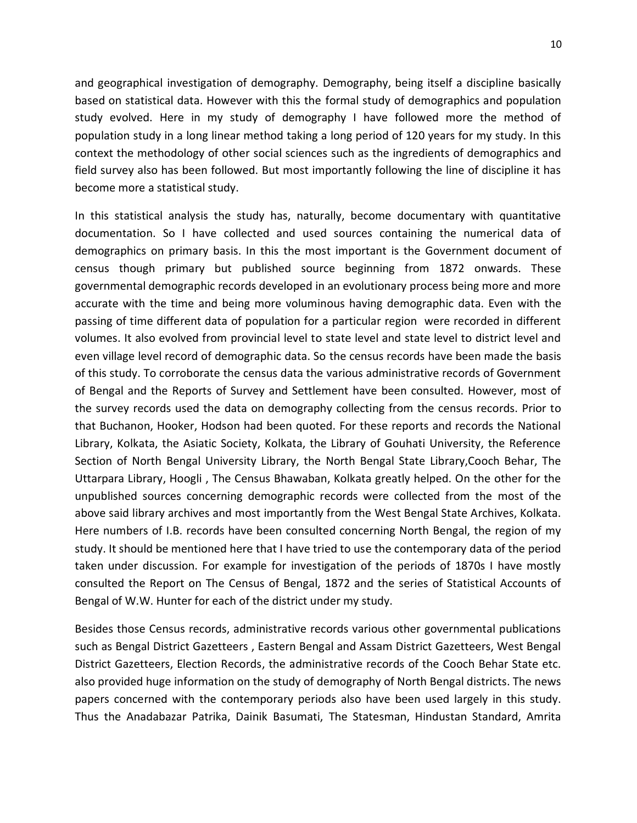and geographical investigation of demography. Demography, being itself a discipline basically based on statistical data. However with this the formal study of demographics and population study evolved. Here in my study of demography I have followed more the method of population study in a long linear method taking a long period of 120 years for my study. In this context the methodology of other social sciences such as the ingredients of demographics and field survey also has been followed. But most importantly following the line of discipline it has become more a statistical study.

In this statistical analysis the study has, naturally, become documentary with quantitative documentation. So I have collected and used sources containing the numerical data of demographics on primary basis. In this the most important is the Government document of census though primary but published source beginning from 1872 onwards. These governmental demographic records developed in an evolutionary process being more and more accurate with the time and being more voluminous having demographic data. Even with the passing of time different data of population for a particular region were recorded in different volumes. It also evolved from provincial level to state level and state level to district level and even village level record of demographic data. So the census records have been made the basis of this study. To corroborate the census data the various administrative records of Government of Bengal and the Reports of Survey and Settlement have been consulted. However, most of the survey records used the data on demography collecting from the census records. Prior to that Buchanon, Hooker, Hodson had been quoted. For these reports and records the National Library, Kolkata, the Asiatic Society, Kolkata, the Library of Gouhati University, the Reference Section of North Bengal University Library, the North Bengal State Library,Cooch Behar, The Uttarpara Library, Hoogli , The Census Bhawaban, Kolkata greatly helped. On the other for the unpublished sources concerning demographic records were collected from the most of the above said library archives and most importantly from the West Bengal State Archives, Kolkata. Here numbers of I.B. records have been consulted concerning North Bengal, the region of my study. It should be mentioned here that I have tried to use the contemporary data of the period taken under discussion. For example for investigation of the periods of 1870s I have mostly consulted the Report on The Census of Bengal, 1872 and the series of Statistical Accounts of Bengal of W.W. Hunter for each of the district under my study.

Besides those Census records, administrative records various other governmental publications such as Bengal District Gazetteers , Eastern Bengal and Assam District Gazetteers, West Bengal District Gazetteers, Election Records, the administrative records of the Cooch Behar State etc. also provided huge information on the study of demography of North Bengal districts. The news papers concerned with the contemporary periods also have been used largely in this study. Thus the Anadabazar Patrika, Dainik Basumati, The Statesman, Hindustan Standard, Amrita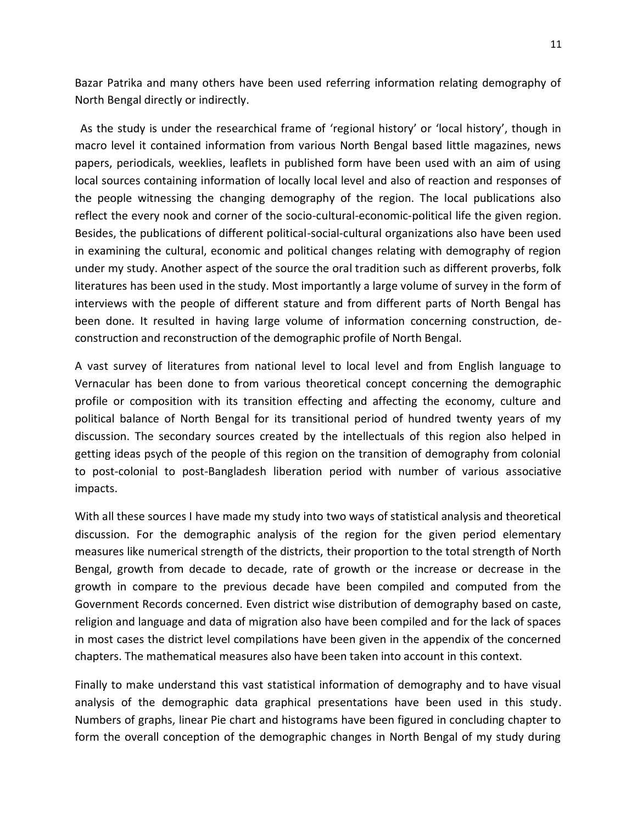Bazar Patrika and many others have been used referring information relating demography of North Bengal directly or indirectly.

 As the study is under the researchical frame of 'regional history' or 'local history', though in macro level it contained information from various North Bengal based little magazines, news papers, periodicals, weeklies, leaflets in published form have been used with an aim of using local sources containing information of locally local level and also of reaction and responses of the people witnessing the changing demography of the region. The local publications also reflect the every nook and corner of the socio-cultural-economic-political life the given region. Besides, the publications of different political-social-cultural organizations also have been used in examining the cultural, economic and political changes relating with demography of region under my study. Another aspect of the source the oral tradition such as different proverbs, folk literatures has been used in the study. Most importantly a large volume of survey in the form of interviews with the people of different stature and from different parts of North Bengal has been done. It resulted in having large volume of information concerning construction, deconstruction and reconstruction of the demographic profile of North Bengal.

A vast survey of literatures from national level to local level and from English language to Vernacular has been done to from various theoretical concept concerning the demographic profile or composition with its transition effecting and affecting the economy, culture and political balance of North Bengal for its transitional period of hundred twenty years of my discussion. The secondary sources created by the intellectuals of this region also helped in getting ideas psych of the people of this region on the transition of demography from colonial to post-colonial to post-Bangladesh liberation period with number of various associative impacts.

With all these sources I have made my study into two ways of statistical analysis and theoretical discussion. For the demographic analysis of the region for the given period elementary measures like numerical strength of the districts, their proportion to the total strength of North Bengal, growth from decade to decade, rate of growth or the increase or decrease in the growth in compare to the previous decade have been compiled and computed from the Government Records concerned. Even district wise distribution of demography based on caste, religion and language and data of migration also have been compiled and for the lack of spaces in most cases the district level compilations have been given in the appendix of the concerned chapters. The mathematical measures also have been taken into account in this context.

Finally to make understand this vast statistical information of demography and to have visual analysis of the demographic data graphical presentations have been used in this study. Numbers of graphs, linear Pie chart and histograms have been figured in concluding chapter to form the overall conception of the demographic changes in North Bengal of my study during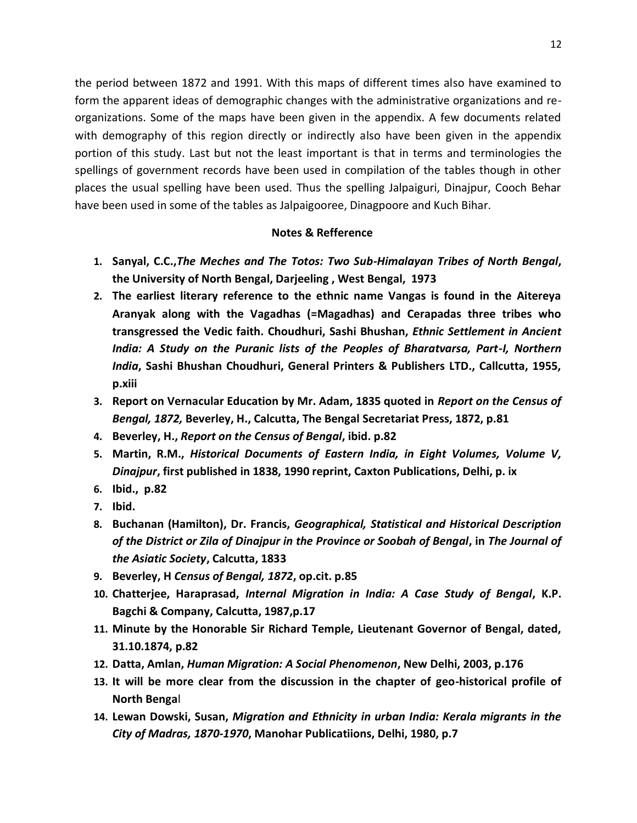the period between 1872 and 1991. With this maps of different times also have examined to form the apparent ideas of demographic changes with the administrative organizations and reorganizations. Some of the maps have been given in the appendix. A few documents related with demography of this region directly or indirectly also have been given in the appendix portion of this study. Last but not the least important is that in terms and terminologies the spellings of government records have been used in compilation of the tables though in other places the usual spelling have been used. Thus the spelling Jalpaiguri, Dinajpur, Cooch Behar have been used in some of the tables as Jalpaigooree, Dinagpoore and Kuch Bihar.

## **Notes & Refference**

- **1. Sanyal, C.C.,***The Meches and The Totos: Two Sub-Himalayan Tribes of North Bengal***, the University of North Bengal, Darjeeling , West Bengal, 1973**
- **2. The earliest literary reference to the ethnic name Vangas is found in the Aitereya Aranyak along with the Vagadhas (=Magadhas) and Cerapadas three tribes who transgressed the Vedic faith. Choudhuri, Sashi Bhushan,** *Ethnic Settlement in Ancient India: A Study on the Puranic lists of the Peoples of Bharatvarsa, Part-I, Northern India***, Sashi Bhushan Choudhuri, General Printers & Publishers LTD., Callcutta, 1955, p.xiii**
- **3. Report on Vernacular Education by Mr. Adam, 1835 quoted in** *Report on the Census of Bengal, 1872,* **Beverley, H., Calcutta, The Bengal Secretariat Press, 1872, p.81**
- **4. Beverley, H.,** *Report on the Census of Bengal***, ibid. p.82**
- **5. Martin, R.M.,** *Historical Documents of Eastern India, in Eight Volumes, Volume V, Dinajpur***, first published in 1838, 1990 reprint, Caxton Publications, Delhi, p. ix**
- **6. Ibid., p.82**
- **7. Ibid.**
- **8. Buchanan (Hamilton), Dr. Francis,** *Geographical, Statistical and Historical Description of the District or Zila of Dinajpur in the Province or Soobah of Bengal***, in** *The Journal of the Asiatic Society***, Calcutta, 1833**
- **9. Beverley, H** *Census of Bengal, 1872***, op.cit. p.85**
- **10. Chatterjee, Haraprasad,** *Internal Migration in India: A Case Study of Bengal***, K.P. Bagchi & Company, Calcutta, 1987,p.17**
- **11. Minute by the Honorable Sir Richard Temple, Lieutenant Governor of Bengal, dated, 31.10.1874, p.82**
- **12. Datta, Amlan,** *Human Migration: A Social Phenomenon***, New Delhi, 2003, p.176**
- **13. It will be more clear from the discussion in the chapter of geo-historical profile of North Benga**l
- **14. Lewan Dowski, Susan,** *Migration and Ethnicity in urban India: Kerala migrants in the City of Madras, 1870-1970***, Manohar Publicatiions, Delhi, 1980, p.7**